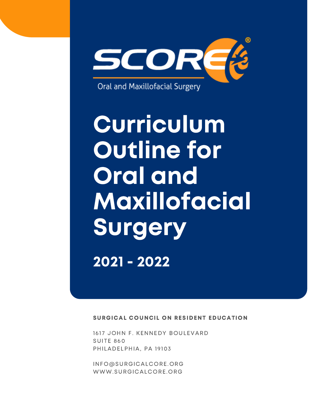

Curriculum Outline for Oral and Maxillofacial **Surgery** 

2021 - 2022

SURGICAL COUNCIL ON RESIDENT EDUCATION

1617 JOHN F. KENNEDY BOULEVARD SUITE 860 PHILADELPHIA, PA 19103

[INFO@SURGICALCORE.ORG](mailto:info@surgicalcore.org) [WWW.SURGICALCORE.ORG](http://www.surgicalcore.org/)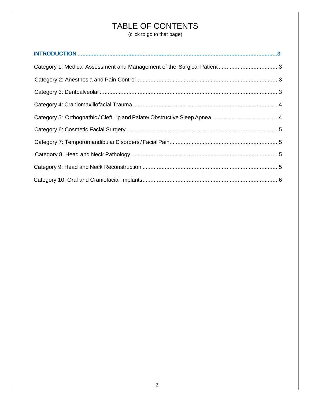# TABLE OF CONTENTS

(click to go to that page)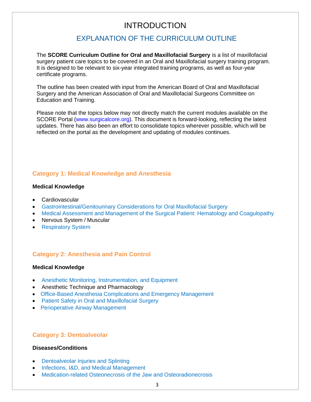# INTRODUCTION

# EXPLANATION OF THE CURRICULUM OUTLINE

<span id="page-2-0"></span>The **SCORE Curriculum Outline for Oral and Maxillofacial Surgery** is a list of maxillofacial surgery patient care topics to be covered in an Oral and Maxillofacial surgery training program. It is designed to be relevant to six-year integrated training programs, as well as four-year certificate programs.

The outline has been created with input from the American Board of Oral and Maxillofacial Surgery and the American Association of Oral and Maxillofacial Surgeons Committee on Education and Training.

Please note that the topics below may not directly match the current modules available on the SCORE Portal (www.surgicalcore.org). This document is forward-looking, reflecting the latest updates. There has also been an effort to consolidate topics wherever possible, which will be reflected on the portal as the development and updating of modules continues.

# <span id="page-2-1"></span>**Category 1: Medical Knowledge and Anesthesia**

#### **Medical Knowledge**

- Cardiovascular
- [Gastrointestinal/Genitourinary Considerations for Oral Maxillofacial Surgery](https://www.surgicalcore.org/modulecontent.aspx?id=1000875)
- [Medical Assessment and Management of the Surgical Patient: Hematology and Coagulopathy](https://www.surgicalcore.org/modulecontent.aspx?id=1000790)
- Nervous System / Muscular
- [Respiratory](https://www.surgicalcore.org/modulecontent.aspx?id=1000857) System

# **Category 2: Anesthesia and Pain Control**

#### **Medical Knowledge**

- [Anesthetic Monitoring, Instrumentation, and](https://www.surgicalcore.org/modulecontent.aspx?id=1000785) Equipment
- Anesthetic Technique and Pharmacology
- [Office-Based Anesthesia Complications and Emergency Management](https://www.surgicalcore.org/modulecontent.aspx?id=1000792)
- [Patient Safety in Oral and Maxillofacial Surgery](https://www.surgicalcore.org/modulecontent.aspx?id=1000786)
- [Perioperative Airway](https://www.surgicalcore.org/modulecontent.aspx?id=1000802) Management

### **Category 3: Dentoalveolar**

#### **Diseases/Conditions**

- [Dentoalveolar Injuries and Splinting](https://www.surgicalcore.org/modulecontent.aspx?id=1000856)
- [Infections, I&D, and Medical Management](https://www.surgicalcore.org/modulecontent.aspx?id=1000864)
- [Medication-related Osteonecrosis of the Jaw and Osteoradionecrosis](https://www.surgicalcore.org/modulecontent.aspx?id=1000869)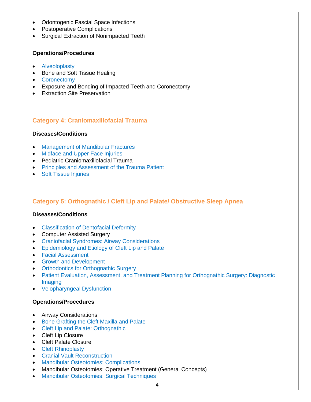- Odontogenic Fascial Space Infections
- Postoperative Complications
- <span id="page-3-0"></span>• Surgical Extraction of Nonimpacted Teeth

#### **Operations/Procedures**

- [Alveoloplasty](https://www.surgicalcore.org/modulecontent.aspx?id=1000837)
- Bone and Soft Tissue Healing
- [Coronectomy](https://www.surgicalcore.org/modulecontent.aspx?id=1000850)
- Exposure and Bonding of Impacted Teeth and Coronectomy
- Extraction Site Preservation

# <span id="page-3-1"></span>**Category 4: Craniomaxillofacial Trauma**

#### **Diseases/Conditions**

- [Management of Mandibular Fractures](https://www.surgicalcore.org/modulecontent.aspx?id=1000855)
- [Midface and Upper Face Injuries](https://www.surgicalcore.org/modulecontent.aspx?id=1000839)
- Pediatric Craniomaxillofacial Trauma
- [Principles and Assessment of the Trauma Patient](https://www.surgicalcore.org/modulecontent.aspx?id=1000851)
- [Soft Tissue](https://www.surgicalcore.org/modulecontent.aspx?id=1000838) Injuries

# <span id="page-3-2"></span>**Category 5: Orthognathic / Cleft Lip and Palate/ Obstructive Sleep Apnea**

#### **Diseases/Conditions**

- [Classification of Dentofacial](https://www.surgicalcore.org/modulecontent.aspx?id=1000823) Deformity
- Computer Assisted Surgery
- [Craniofacial Syndromes: Airway](https://www.surgicalcore.org/modulecontent.aspx?id=1000810) Considerations
- [Epidemiology and Etiology of Cleft Lip and](https://www.surgicalcore.org/moduleConference.aspx?id=1000821) Palate
- Facial [Assessment](https://www.surgicalcore.org/modulecontent.aspx?id=1000843)
- Growth and [Development](https://www.surgicalcore.org/modulecontent.aspx?id=1000815)
- [Orthodontics for Orthognathic Surgery](https://www.surgicalcore.org/modulecontent.aspx?id=1000867)
- [Patient Evaluation, Assessment, and Treatment Planning for](https://www.surgicalcore.org/modulecontent.aspx?id=1000820) Orthognathic Surgery: Diagnostic [Imaging](https://www.surgicalcore.org/modulecontent.aspx?id=1000820)
- [Velopharyngeal](https://www.surgicalcore.org/modulecontent.aspx?id=1000888) Dysfunction

#### **Operations/Procedures**

- Airway Considerations
- [Bone Grafting the Cleft Maxilla and](https://www.surgicalcore.org/modulecontent.aspx?id=1000809) Palate
- [Cleft Lip and Palate: Orthognathic](https://www.surgicalcore.org/modulecontent.aspx?id=1000830)
- Cleft Lip Closure
- Cleft Palate Closure
- Cleft [Rhinoplasty](https://www.surgicalcore.org/modulecontent.aspx?id=1000827)
- Cranial Vault [Reconstruction](https://www.surgicalcore.org/modulecontent.aspx?id=1000829)
- Mandibular [Osteotomies: Complications](https://www.surgicalcore.org/modulecontent.aspx?id=1000818)
- Mandibular Osteotomies: Operative Treatment (General Concepts)
- [Mandibular Osteotomies:](https://www.surgicalcore.org/modulecontent.aspx?id=1000853) Surgical Techniques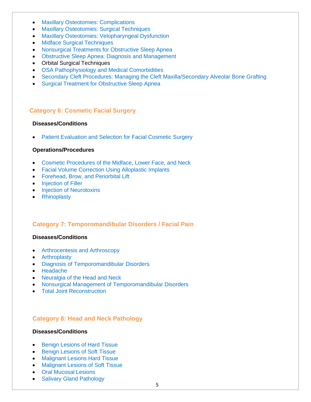- [Maxillary Osteotomies:](https://www.surgicalcore.org/modulecontent.aspx?id=1000819) Complications
- [Maxillary Osteotomies: Surgical Techniques](https://www.surgicalcore.org/modulecontent.aspx?id=1000845)
- [Maxillary Osteotomies: Velopharyngeal Dysfunction](https://www.surgicalcore.org/modulecontent.aspx?id=1000812)
- <span id="page-4-0"></span>• [Midface Surgical](https://www.surgicalcore.org/modulecontent.aspx?id=1000816) Techniques
- [Nonsurgical Treatments for Obstructive Sleep Apnea](https://www.surgicalcore.org/modulecontent.aspx?id=1000817)
- [Obstructive Sleep Apnea: Diagnosis and Management](https://www.surgicalcore.org/modulecontent.aspx?id=1000824)
- Orbital Surgical Techniques
- [OSA Pathophysiology and Medical Comorbidities](https://www.surgicalcore.org/modulecontent.aspx?id=1000806)
- [Secondary Cleft Procedures: Managing the Cleft Maxilla/Secondary Alveolar Bone Grafting](https://www.surgicalcore.org/modulecontent.aspx?id=1000836)
- [Surgical Treatment for Obstructive Sleep Apnea](https://www.surgicalcore.org/modulecontent.aspx?id=1000878)

#### **Category 6: Cosmetic Facial Surgery**

#### **Diseases/Conditions**

• [Patient Evaluation and Selection for Facial Cosmetic Surgery](https://www.surgicalcore.org/modulecontent.aspx?id=1000770)

#### **Operations/Procedures**

- [Cosmetic Procedures of the Midface, Lower Face, and](https://www.surgicalcore.org/modulecontent.aspx?id=1000789) Neck
- [Facial Volume Correction Using Alloplastic](https://www.surgicalcore.org/modulecontent.aspx?id=1000803) Implants
- [Forehead, Brow, and](https://www.surgicalcore.org/modulecontent.aspx?id=1000801) Periorbital Lift
- [Injection of](https://www.surgicalcore.org/modulecontent.aspx?id=1000800) Filler
- Injection of [Neurotoxins](https://www.surgicalcore.org/modulecontent.aspx?id=1000791)
- [Rhinoplasty](https://www.surgicalcore.org/modulecontent.aspx?id=1000808)

# <span id="page-4-1"></span>**Category 7: Temporomandibular Disorders / Facial Pain**

#### **Diseases/Conditions**

- [Arthrocentesis and](https://www.surgicalcore.org/modulecontent.aspx?id=1000871) Arthroscopy
- [Arthroplasty](https://www.surgicalcore.org/modulecontent.aspx?id=1000854)
- [Diagnosis of Temporomandibular](https://www.surgicalcore.org/modulecontent.aspx?id=1000874) Disorders
- <span id="page-4-2"></span>• [Headache](https://www.surgicalcore.org/modulecontent.aspx?id=1000868)
- [Neuralgia of the Head and Neck](https://www.surgicalcore.org/modulecontent.aspx?id=1000870)
- [Nonsurgical Management of Temporomandibular](https://www.surgicalcore.org/modulecontent.aspx?id=1000873) Disorders
- Total Joint [Reconstruction](https://www.surgicalcore.org/modulecontent.aspx?id=1000866)

# **Category 8: Head and Neck Pathology**

#### **Diseases/Conditions**

- [Benign Lesions of Hard](https://www.surgicalcore.org/modulecontent.aspx?id=1000872) Tissue
- [Benign Lesions of Soft](https://www.surgicalcore.org/modulecontent.aspx?id=1000852) Tissue
- [Malignant Lesions Hard](https://www.surgicalcore.org/modulecontent.aspx?id=1000807) Tissue
- [Malignant Lesions of Soft](https://www.surgicalcore.org/modulecontent.aspx?id=1000822) Tissue
- [Oral Mucosal](https://www.surgicalcore.org/modulecontent.aspx?id=1000835) Lesions
- [Salivary Gland Pathology](https://www.surgicalcore.org/modulecontent.aspx?id=1000834)